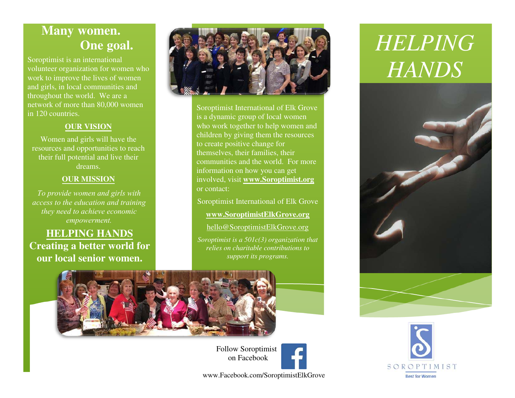### **Many women. One goal.**

Soroptimist is an international volunteer organization for women who work to improve the lives of women and girls, in local communities and throughout the world. We are a network of more than 80,000 women in 120 countries.

#### **OUR VISION**

Women and girls will have the resources and opportunities to reach their full potential and live their dreams.

#### **OUR MISSION**

*To provide women and girls with access to the education and training they need to achieve economic empowerment.*

**HELPING HANDS Creating a better world for our local senior women.**



Soroptimist International of Elk Grove is a dynamic group of local women who work together to help women and children by giving them the resources to create positive change for themselves, their families, their communities and the world. For more information on how you can get involved, visit **[www.Soroptimist.org](http://www.soroptimist.org/)** or contact:

Soroptimist International of Elk Grove

#### **[www.SoroptimistElkGrove.org](http://www.soroptimistelkgrove.org/)**

[hello@SoroptimistElkGrove.org](mailto:hello@SoroptimistElkGrove.org) 

*Soroptimist is a 501c(3) organization that relies on charitable contributions to support its programs.*



## *HELPING HANDS*





 Follow Soroptimist on Facebook

www.Facebook.com/SoroptimistElkGrove